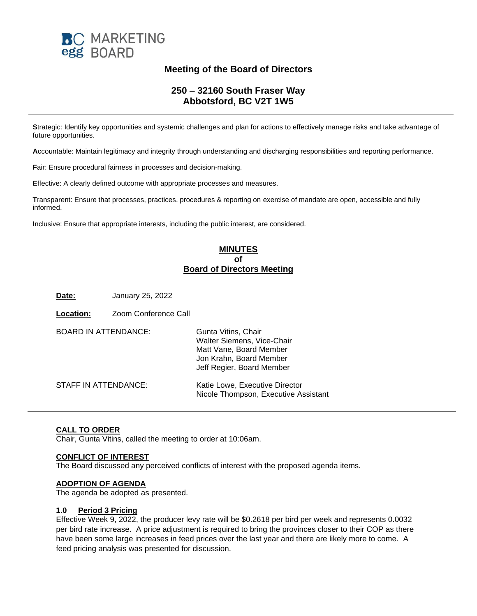

## **Meeting of the Board of Directors**

## **250 – 32160 South Fraser Way Abbotsford, BC V2T 1W5**

**S**trategic: Identify key opportunities and systemic challenges and plan for actions to effectively manage risks and take advantage of future opportunities.

**A**ccountable: Maintain legitimacy and integrity through understanding and discharging responsibilities and reporting performance.

**F**air: Ensure procedural fairness in processes and decision-making.

**E**ffective: A clearly defined outcome with appropriate processes and measures.

**T**ransparent: Ensure that processes, practices, procedures & reporting on exercise of mandate are open, accessible and fully informed.

**I**nclusive: Ensure that appropriate interests, including the public interest, are considered.

## **MINUTES of Board of Directors Meeting**

**Date:** January 25, 2022

| Location:                   | Zoom Conference Call |                                                                                                                                      |
|-----------------------------|----------------------|--------------------------------------------------------------------------------------------------------------------------------------|
| <b>BOARD IN ATTENDANCE:</b> |                      | Gunta Vitins, Chair<br>Walter Siemens, Vice-Chair<br>Matt Vane, Board Member<br>Jon Krahn, Board Member<br>Jeff Regier, Board Member |
| STAFF IN ATTENDANCE:        |                      | Katie Lowe, Executive Director<br>Nicole Thompson, Executive Assistant                                                               |

### **CALL TO ORDER**

Chair, Gunta Vitins, called the meeting to order at 10:06am.

#### **CONFLICT OF INTEREST**

The Board discussed any perceived conflicts of interest with the proposed agenda items.

#### **ADOPTION OF AGENDA**

The agenda be adopted as presented.

#### **1.0 Period 3 Pricing**

Effective Week 9, 2022, the producer levy rate will be \$0.2618 per bird per week and represents 0.0032 per bird rate increase. A price adjustment is required to bring the provinces closer to their COP as there have been some large increases in feed prices over the last year and there are likely more to come. A feed pricing analysis was presented for discussion.